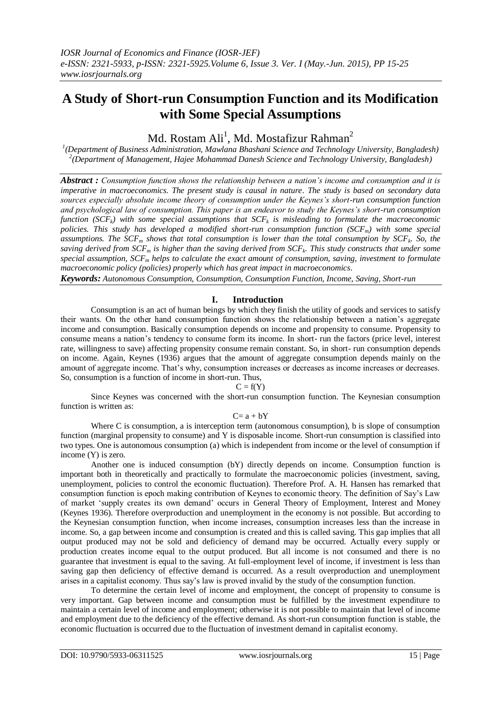# **A Study of Short-run Consumption Function and its Modification with Some Special Assumptions**

Md. Rostam Ali $^1$ , Md. Mostafizur Rahman $^2$ 

*1 (Department of Business Administration, Mawlana Bhashani Science and Technology University, Bangladesh) 2 (Department of Management, Hajee Mohammad Danesh Science and Technology University, Bangladesh)*

*Abstract : Consumption function shows the relationship between a nation's income and consumption and it is imperative in macroeconomics. The present study is causal in nature. The study is based on secondary data sources especially absolute income theory of consumption under the Keynes's short-run consumption function and psychological law of consumption. This paper is an endeavor to study the Keynes's short-run consumption function (SCFk) with some special assumptions that SCF<sup>k</sup> is misleading to formulate the macroeconomic policies. This study has developed a modified short-run consumption function (SCFm) with some special assumptions. The SCF<sup>m</sup> shows that total consumption is lower than the total consumption by SCF<sup>k</sup> . So, the saving derived from SCF<sup>m</sup> is higher than the saving derived from SCF<sup>k</sup> . This study constructs that under some special assumption, SCF<sup>m</sup> helps to calculate the exact amount of consumption, saving, investment to formulate macroeconomic policy (policies) properly which has great impact in macroeconomics.*

*Keywords: Autonomous Consumption, Consumption, Consumption Function, Income, Saving, Short-run*

## **I. Introduction**

Consumption is an act of human beings by which they finish the utility of goods and services to satisfy their wants. On the other hand consumption function shows the relationship between a nation"s aggregate income and consumption. Basically consumption depends on income and propensity to consume. Propensity to consume means a nation"s tendency to consume form its income. In short- run the factors (price level, interest rate, willingness to save) affecting propensity consume remain constant. So, in short- run consumption depends on income. Again, Keynes (1936) argues that the amount of aggregate consumption depends mainly on the amount of aggregate income. That"s why, consumption increases or decreases as income increases or decreases. So, consumption is a function of income in short-run. Thus,

 $C = f(Y)$ 

Since Keynes was concerned with the short-run consumption function. The Keynesian consumption function is written as:

#### $C = a + bY$

Where C is consumption, a is interception term (autonomous consumption), b is slope of consumption function (marginal propensity to consume) and Y is disposable income. Short-run consumption is classified into two types. One is autonomous consumption (a) which is independent from income or the level of consumption if income (Y) is zero.

Another one is induced consumption (bY) directly depends on income. Consumption function is important both in theoretically and practically to formulate the macroeconomic policies (investment, saving, unemployment, policies to control the economic fluctuation). Therefore Prof. A. H. Hansen has remarked that consumption function is epoch making contribution of Keynes to economic theory. The definition of Say"s Law of market "supply creates its own demand" occurs in General Theory of Employment, Interest and Money (Keynes 1936). Therefore overproduction and unemployment in the economy is not possible. But according to the Keynesian consumption function, when income increases, consumption increases less than the increase in income. So, a gap between income and consumption is created and this is called saving. This gap implies that all output produced may not be sold and deficiency of demand may be occurred. Actually every supply or production creates income equal to the output produced. But all income is not consumed and there is no guarantee that investment is equal to the saving. At full-employment level of income, if investment is less than saving gap then deficiency of effective demand is occurred. As a result overproduction and unemployment arises in a capitalist economy. Thus say"s law is proved invalid by the study of the consumption function.

To determine the certain level of income and employment, the concept of propensity to consume is very important. Gap between income and consumption must be fulfilled by the investment expenditure to maintain a certain level of income and employment; otherwise it is not possible to maintain that level of income and employment due to the deficiency of the effective demand. As short-run consumption function is stable, the economic fluctuation is occurred due to the fluctuation of investment demand in capitalist economy.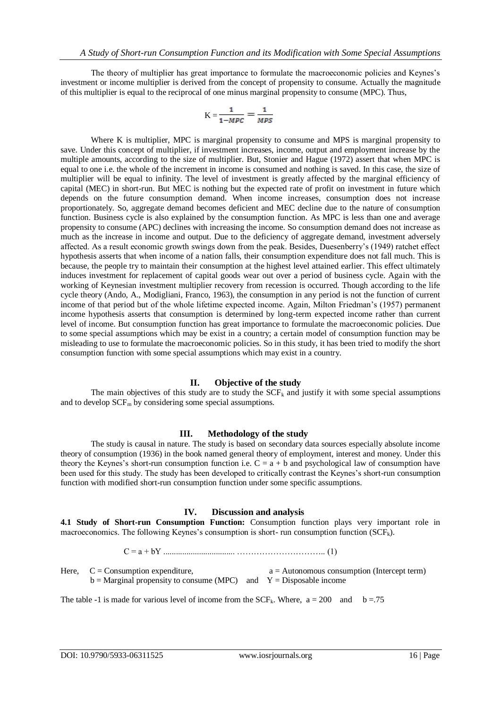The theory of multiplier has great importance to formulate the macroeconomic policies and Keynes"s investment or income multiplier is derived from the concept of propensity to consume. Actually the magnitude of this multiplier is equal to the reciprocal of one minus marginal propensity to consume (MPC). Thus,

$$
K = \frac{1}{1 - MPC} = \frac{1}{MPS}
$$

Where K is multiplier, MPC is marginal propensity to consume and MPS is marginal propensity to save. Under this concept of multiplier, if investment increases, income, output and employment increase by the multiple amounts, according to the size of multiplier. But, Stonier and Hague (1972) assert that when MPC is equal to one i.e. the whole of the increment in income is consumed and nothing is saved. In this case, the size of multiplier will be equal to infinity. The level of investment is greatly affected by the marginal efficiency of capital (MEC) in short-run. But MEC is nothing but the expected rate of profit on investment in future which depends on the future consumption demand. When income increases, consumption does not increase proportionately. So, aggregate demand becomes deficient and MEC decline due to the nature of consumption function. Business cycle is also explained by the consumption function. As MPC is less than one and average propensity to consume (APC) declines with increasing the income. So consumption demand does not increase as much as the increase in income and output. Due to the deficiency of aggregate demand, investment adversely affected. As a result economic growth swings down from the peak. Besides, Duesenberry"s (1949) ratchet effect hypothesis asserts that when income of a nation falls, their consumption expenditure does not fall much. This is because, the people try to maintain their consumption at the highest level attained earlier. This effect ultimately induces investment for replacement of capital goods wear out over a period of business cycle. Again with the working of Keynesian investment multiplier recovery from recession is occurred. Though according to the life cycle theory (Ando, A., Modigliani, Franco, 1963), the consumption in any period is not the function of current income of that period but of the whole lifetime expected income. Again, Milton Friedman"s (1957) permanent income hypothesis asserts that consumption is determined by long-term expected income rather than current level of income. But consumption function has great importance to formulate the macroeconomic policies. Due to some special assumptions which may be exist in a country; a certain model of consumption function may be misleading to use to formulate the macroeconomic policies. So in this study, it has been tried to modify the short consumption function with some special assumptions which may exist in a country.

# **II. Objective of the study**

The main objectives of this study are to study the  $SCF_k$  and justify it with some special assumptions and to develop  $SCF_m$  by considering some special assumptions.

## **III. Methodology of the study**

The study is causal in nature. The study is based on secondary data sources especially absolute income theory of consumption (1936) in the book named general theory of employment, interest and money. Under this theory the Keynes's short-run consumption function i.e.  $C = a + b$  and psychological law of consumption have been used for this study. The study has been developed to critically contrast the Keynes's short-run consumption function with modified short-run consumption function under some specific assumptions.

## **IV. Discussion and analysis**

**4.1 Study of Short-run Consumption Function:** Consumption function plays very important role in macroeconomics. The following Keynes's consumption is short- run consumption function  $(SCF_k)$ .

$$
C = a + bY
$$

Here,  $C =$  Consumption expenditure,  $a =$  Autonomous consumption (Intercept term)  $b =$ Marginal propensity to consume (MPC) and  $Y =$ Disposable income

The table -1 is made for various level of income from the  $SCF_k$ . Where,  $a = 200$  and  $b = .75$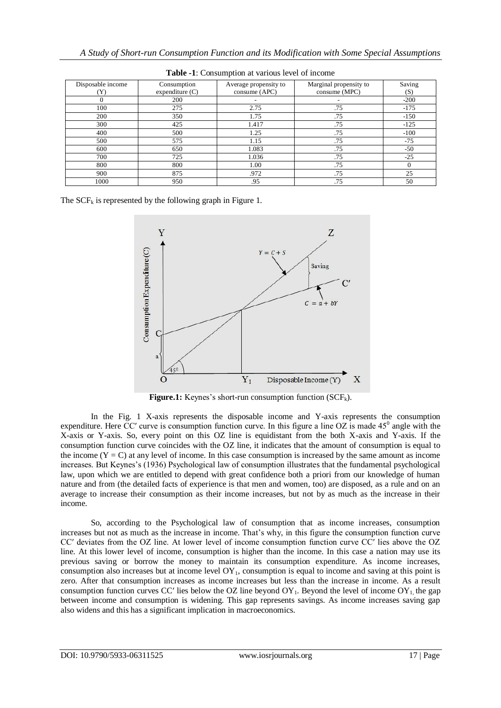| Disposable income | Consumption<br>expenditure $(C)$ | Average propensity to<br>cosume (APC) | Marginal propensity to<br>consume (MPC) | Saving<br>(S) |
|-------------------|----------------------------------|---------------------------------------|-----------------------------------------|---------------|
|                   | 200                              |                                       |                                         | $-200$        |
| 100               | 275                              | 2.75                                  | .75                                     | $-175$        |
| 200               | 350                              | 1.75                                  | .75                                     | $-150$        |
| 300               | 425                              | 1.417                                 | .75                                     | $-125$        |
| 400               | 500                              | 1.25                                  | .75                                     | $-100$        |
| 500               | 575                              | 1.15                                  | .75                                     | $-75$         |
| 600               | 650                              | 1.083                                 | .75                                     | $-50$         |
| 700               | 725                              | 1.036                                 | .75                                     | $-25$         |
| 800               | 800                              | 1.00                                  | .75                                     |               |
| 900               | 875                              | .972                                  | .75                                     | 25            |
| 1000              | 950                              | .95                                   | .75                                     | 50            |

**Table -1**: Consumption at various level of income

The  $SCF_k$  is represented by the following graph in Figure 1.



**Figure.1:** Keynes's short-run consumption function  $(SCF_k)$ .

In the Fig. 1 X-axis represents the disposable income and Y-axis represents the consumption expenditure. Here  $CC'$  curve is consumption function curve. In this figure a line OZ is made  $45^{\circ}$  angle with the X-axis or Y-axis. So, every point on this OZ line is equidistant from the both X-axis and Y-axis. If the consumption function curve coincides with the OZ line, it indicates that the amount of consumption is equal to the income  $(Y = C)$  at any level of income. In this case consumption is increased by the same amount as income increases. But Keynes"s (1936) Psychological law of consumption illustrates that the fundamental psychological law, upon which we are entitled to depend with great confidence both a priori from our knowledge of human nature and from (the detailed facts of experience is that men and women, too) are disposed, as a rule and on an average to increase their consumption as their income increases, but not by as much as the increase in their income.

So, according to the Psychological law of consumption that as income increases, consumption increases but not as much as the increase in income. That"s why, in this figure the consumption function curve CCʹ deviates from the OZ line. At lower level of income consumption function curve CCʹ lies above the OZ line. At this lower level of income, consumption is higher than the income. In this case a nation may use its previous saving or borrow the money to maintain its consumption expenditure. As income increases, consumption also increases but at income level  $OY_1$ , consumption is equal to income and saving at this point is zero. After that consumption increases as income increases but less than the increase in income. As a result consumption function curves CC' lies below the OZ line beyond OY<sub>1</sub>. Beyond the level of income OY<sub>1</sub>, the gap between income and consumption is widening. This gap represents savings. As income increases saving gap also widens and this has a significant implication in macroeconomics.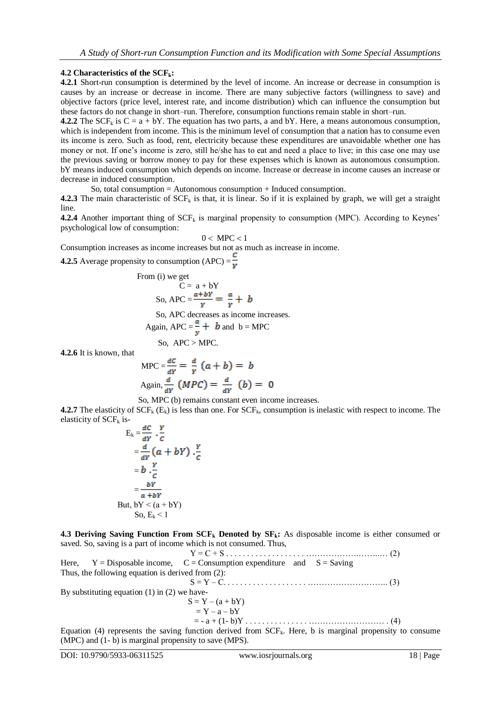# **4.2 Characteristics of the SCFk:**

**4.2.1** Short-run consumption is determined by the level of income. An increase or decrease in consumption is causes by an increase or decrease in income. There are many subjective factors (willingness to save) and objective factors (price level, interest rate, and income distribution) which can influence the consumption but these factors do not change in short–run. Therefore, consumption functions remain stable in short–run.

**4.2.2** The SCF<sub>k</sub> is  $C = a + bY$ . The equation has two parts, a and bY. Here, a means autonomous consumption, which is independent from income. This is the minimum level of consumption that a nation has to consume even its income is zero. Such as food, rent, electricity because these expenditures are unavoidable whether one has money or not. If one's income is zero, still he/she has to eat and need a place to live; in this case one may use the previous saving or borrow money to pay for these expenses which is known as autonomous consumption. bY means induced consumption which depends on income. Increase or decrease in income causes an increase or decrease in induced consumption.

So, total consumption = Autonomous consumption + Induced consumption.

**4.2.3** The main characteristic of  $SCF_k$  is that, it is linear. So if it is explained by graph, we will get a straight line.

**4.2.4** Another important thing of  $SCF_k$  is marginal propensity to consumption (MPC). According to Keynes' psychological low of consumption:

$$
0 < \text{MPC} < 1
$$

Consumption increases as income increases but not as much as increase in income.

**4.2.5** Average propensity to consumption  $(APC) = \frac{C}{v}$ 

From (i) we get  
\n
$$
C = a + bY
$$
\nSo,  $APC = \frac{a + bY}{Y} = \frac{a}{Y} + b$   
\nSo,  $APC$  decreases as income increases.  
\nAgain,  $APC = \frac{a}{Y} + b$  and  $b = MPC$ 

So,  $APC > MPC$ .

**4.2.6** It is known, that

$$
MPC = \frac{dC}{dY} = \frac{d}{Y} (a + b) = b
$$
  
Again, 
$$
\frac{d}{dY} (MPC) = \frac{d}{dY} (b) = 0
$$

So, MPC (b) remains constant even income increases.

**4.2.7** The elasticity of  $SCF_k$  (E<sub>k</sub>) is less than one. For  $SCF_k$ , consumption is inelastic with respect to income. The elasticity of  $SCF_k$  is-

$$
E_k = \frac{ac}{dY} \cdot \frac{Y}{c}
$$
  
\n
$$
= \frac{d}{dY} (a + bY) \cdot \frac{Y}{c}
$$
  
\n
$$
= b \cdot \frac{Y}{c}
$$
  
\n
$$
= \frac{bY}{a + bY}
$$
  
\nBut,  $bY < (a + bY)$   
\nSo,  $E_k < 1$ 

**4.3 Deriving Saving Function From SCF<sup>k</sup> Denoted by SFk:** As disposable income is either consumed or saved. So, saving is a part of income which is not consumed. Thus,

 Y = C + S . . . . . . . . . . . . . . . . . . . ……………….……..… (2) Here,  $Y = \text{Disposable income}$ ,  $C = \text{Consumption expenditure}$  and  $S = \text{Saving}$ Thus, the following equation is derived from (2): S = Y – C. . . . . . . . . . . . . . . . . . . . ……………………….. (3) By substituting equation (1) in (2) we have-

$$
S = Y - (a + bY)
$$
  
= Y - a - bY  
= a + (1 - b)Y

= - a + (1- b)Y . . . . . . . . . . . . . . . ……………………… . (4)

Equation (4) represents the saving function derived from  $SCF_k$ . Here, b is marginal propensity to consume (MPC) and (1- b) is marginal propensity to save (MPS).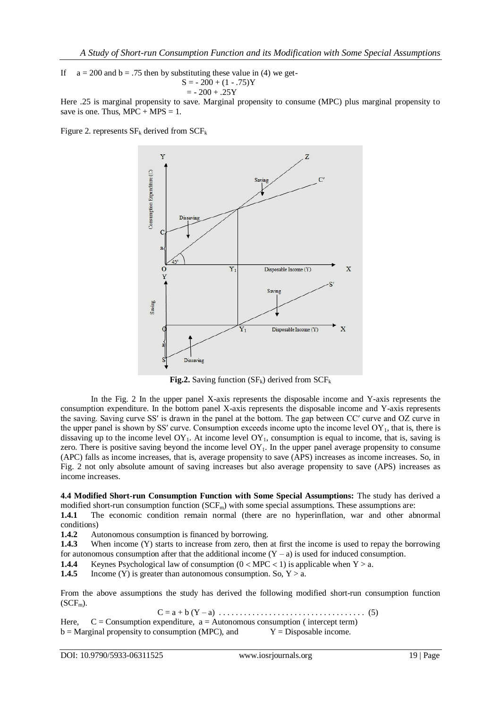If  $a = 200$  and  $b = .75$  then by substituting these value in (4) we get- $S = -200 + (1 - .75)Y$  $= -200 + .25Y$ 

Here .25 is marginal propensity to save. Marginal propensity to consume (MPC) plus marginal propensity to save is one. Thus,  $MPC + MPS = 1$ .

Figure 2. represents  $SF_k$  derived from  $SCF_k$ 



**Fig.2.** Saving function  $(SF_k)$  derived from  $SCF_k$ 

In the Fig. 2 In the upper panel X-axis represents the disposable income and Y-axis represents the consumption expenditure. In the bottom panel X-axis represents the disposable income and Y-axis represents the saving. Saving curve SSʹ is drawn in the panel at the bottom. The gap between CCʹ curve and OZ curve in the upper panel is shown by SS' curve. Consumption exceeds income upto the income level  $OY_1$ , that is, there is dissaving up to the income level  $OY_1$ . At income level  $OY_1$ , consumption is equal to income, that is, saving is zero. There is positive saving beyond the income level  $OY_1$ . In the upper panel average propensity to consume (APC) falls as income increases, that is, average propensity to save (APS) increases as income increases. So, in Fig. 2 not only absolute amount of saving increases but also average propensity to save (APS) increases as income increases.

**4.4 Modified Short-run Consumption Function with Some Special Assumptions:** The study has derived a modified short-run consumption function  $(SCF_m)$  with some special assumptions. These assumptions are:

**1.4.1** The economic condition remain normal (there are no hyperinflation, war and other abnormal conditions)

**1.4.2** Autonomous consumption is financed by borrowing.

**1.4.3** When income (Y) starts to increase from zero, then at first the income is used to repay the borrowing for autonomous consumption after that the additional income  $(Y - a)$  is used for induced consumption.

**1.4.4** Keynes Psychological law of consumption  $(0 \lt MPC \lt 1)$  is applicable when  $Y > a$ .

**1.4.5** Income (Y) is greater than autonomous consumption. So,  $Y > a$ .

From the above assumptions the study has derived the following modified short-run consumption function  $(SCF<sub>m</sub>)$ .

C = a + b (Y – a) . . . . . . . . . . . . . . . . . . . . . . . . . . . . . . . . . . . (5)

Here,  $C =$  Consumption expenditure,  $a =$  Autonomous consumption (intercept term)  $b =$  Marginal propensity to consumption (MPC), and  $Y =$  Disposable income.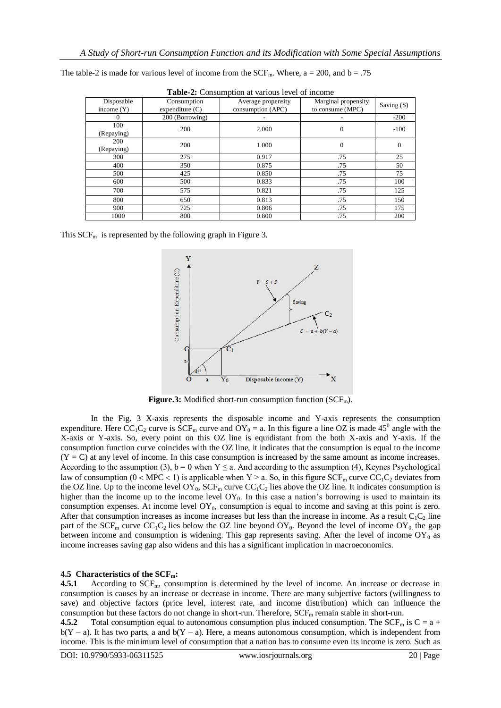| <b>Table-2:</b> Consumption at various level of income |                                  |                                         |                                         |            |  |  |  |  |
|--------------------------------------------------------|----------------------------------|-----------------------------------------|-----------------------------------------|------------|--|--|--|--|
| Disposable<br>income $(Y)$                             | Consumption<br>expenditure $(C)$ | Average propensity<br>consumption (APC) | Marginal propensity<br>to consume (MPC) | Saving (S) |  |  |  |  |
|                                                        |                                  |                                         |                                         |            |  |  |  |  |
| 0                                                      | 200 (Borrowing)                  |                                         |                                         | $-200$     |  |  |  |  |
| 100                                                    | 200                              | 2.000                                   | $\mathbf{0}$                            | $-100$     |  |  |  |  |
| (Repaying)                                             |                                  |                                         |                                         |            |  |  |  |  |
| 200                                                    | 200                              | 1.000                                   | $\mathbf{0}$                            | $\Omega$   |  |  |  |  |
| (Repaying)                                             |                                  |                                         |                                         |            |  |  |  |  |
| 300                                                    | 275                              | 0.917                                   | .75                                     | 25         |  |  |  |  |
| 400                                                    | 350                              | 0.875                                   | .75                                     | 50         |  |  |  |  |
| 500                                                    | 425                              | 0.850                                   | .75                                     | 75         |  |  |  |  |
| 600                                                    | 500                              | 0.833                                   | .75                                     | 100        |  |  |  |  |
| 700                                                    | 575                              | 0.821                                   | .75                                     | 125        |  |  |  |  |
| 800                                                    | 650                              | 0.813                                   | .75                                     | 150        |  |  |  |  |
| 900                                                    | 725                              | 0.806                                   | .75                                     | 175        |  |  |  |  |
| 1000                                                   | 800                              | 0.800                                   | .75                                     | 200        |  |  |  |  |

The table-2 is made for various level of income from the  $SCF_m$ . Where, a = 200, and b = .75

This  $SCF<sub>m</sub>$  is represented by the following graph in Figure 3.



**Figure.3:** Modified short-run consumption function  $(SCF_m)$ .

In the Fig. 3 X-axis represents the disposable income and Y-axis represents the consumption expenditure. Here  $CC_1C_2$  curve is  $SCF_m$  curve and  $OY_0 = a$ . In this figure a line OZ is made 45<sup>0</sup> angle with the X-axis or Y-axis. So, every point on this OZ line is equidistant from the both X-axis and Y-axis. If the consumption function curve coincides with the OZ line, it indicates that the consumption is equal to the income  $(Y = C)$  at any level of income. In this case consumption is increased by the same amount as income increases. According to the assumption (3),  $b = 0$  when  $Y \le a$ . And according to the assumption (4), Keynes Psychological law of consumption ( $0 < MPC < 1$ ) is applicable when Y > a. So, in this figure SCF<sub>m</sub> curve CC<sub>1</sub>C<sub>2</sub> deviates from the OZ line. Up to the income level  $OY_0$ ,  $SCF_m$  curve  $CC_1C_2$  lies above the OZ line. It indicates consumption is higher than the income up to the income level  $OY_0$ . In this case a nation's borrowing is used to maintain its consumption expenses. At income level  $OY_0$ , consumption is equal to income and saving at this point is zero. After that consumption increases as income increases but less than the increase in income. As a result  $C_1C_2$  line part of the  $SCF_m$  curve  $CC_1C_2$  lies below the OZ line beyond OY<sub>0</sub>. Beyond the level of income OY<sub>0</sub>, the gap between income and consumption is widening. This gap represents saving. After the level of income  $OY_0$  as income increases saving gap also widens and this has a significant implication in macroeconomics.

## **4.5 Characteristics of the SCFm:**

**4.5.1** According to SCF<sub>m</sub>, consumption is determined by the level of income. An increase or decrease in consumption is causes by an increase or decrease in income. There are many subjective factors (willingness to save) and objective factors (price level, interest rate, and income distribution) which can influence the consumption but these factors do not change in short-run. Therefore, SCF<sub>m</sub> remain stable in short-run.

**4.5.2** Total consumption equal to autonomous consumption plus induced consumption. The SCF<sub>m</sub> is C = a +  $b(Y - a)$ . It has two parts, a and  $b(Y - a)$ . Here, a means autonomous consumption, which is independent from income. This is the minimum level of consumption that a nation has to consume even its income is zero. Such as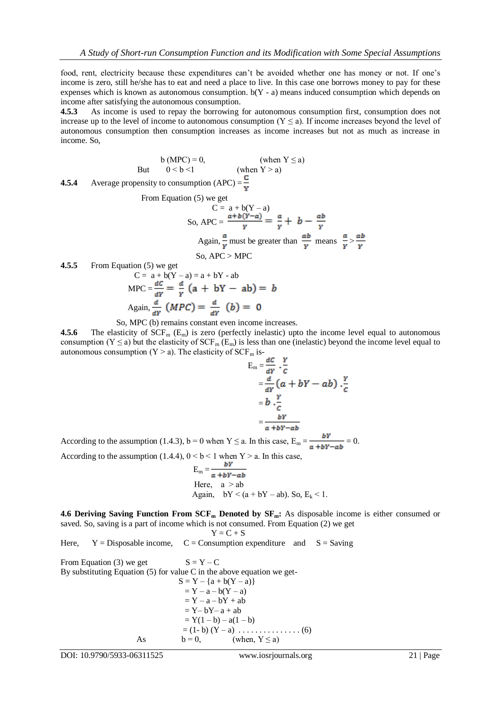food, rent, electricity because these expenditures can"t be avoided whether one has money or not. If one"s income is zero, still he/she has to eat and need a place to live. In this case one borrows money to pay for these expenses which is known as autonomous consumption.  $b(Y - a)$  means induced consumption which depends on income after satisfying the autonomous consumption.

**4.5.3** As income is used to repay the borrowing for autonomous consumption first, consumption does not increase up to the level of income to autonomous consumption  $(Y \le a)$ . If income increases beyond the level of autonomous consumption then consumption increases as income increases but not as much as increase in income. So,

$$
b (MPC) = 0,
$$
 (when  $Y \le a$ )  
But  $0 < b < 1$  (when  $Y > a$ )

**4.5.4** Average propensity to consumption  $(APC) = \frac{1}{R}$ 

From Equation 
$$
(5)
$$
 we get

$$
C = a + b(Y - a)
$$
  
So, 
$$
APC = \frac{a + b(Y - a)}{Y} = \frac{a}{Y} + b - \frac{ab}{Y}
$$
  
Again,  $\frac{a}{Y}$  must be greater than  $\frac{ab}{Y}$  means  $\frac{a}{Y} > \frac{ab}{Y}$   
So, 
$$
APC > MPC
$$

**4.5.5** From Equation (5) we get

$$
C = a + b(Y - a) = a + bY - ab
$$
  

$$
MPC = \frac{dC}{dY} = \frac{d}{Y} (a + bY - ab) = b
$$
  
Again, 
$$
\frac{d}{dY} (MPC) = \frac{d}{dY} (b) = 0
$$

So, MPC (b) remains constant even income increases.

**4.5.6** The elasticity of  $SCF_m$  ( $E_m$ ) is zero (perfectly inelastic) upto the income level equal to autonomous consumption (Y  $\leq$  a) but the elasticity of SCF<sub>m</sub> (E<sub>m</sub>) is less than one (inelastic) beyond the income level equal to autonomous consumption  $(Y > a)$ . The elasticity of SCF<sub>m</sub> is-

$$
E_m = \frac{dc}{dY} \cdot \frac{Y}{c}
$$
  
=  $\frac{d}{dY} (a + bY - ab) \cdot \frac{Y}{c}$   
=  $b \cdot \frac{Y}{c}$   
=  $\frac{bY}{a + bY - ab}$ 

According to the assumption (1.4.3), b = 0 when  $Y \le a$ . In this case,  $E_m = \frac{bY}{a + bY - ab} = 0$ .

According to the assumption (1.4.4),  $0 < b < 1$  when Y  $> a$ . In this case,

$$
E_m = \frac{br}{a + bY - ab}
$$
  
Here,  $a > ab$   
Again,  $bY < (a + bY - ab)$ . So,  $E_k < 1$ .

**4.6 Deriving Saving Function From SCF<sup>m</sup> Denoted by SFm:** As disposable income is either consumed or saved. So, saving is a part of income which is not consumed. From Equation (2) we get  $V - C + C$ 

Here, 
$$
Y = \text{Disposable income}
$$
,  $C = \text{Consumption expenditure}$  and  $S = \text{Saving}$ 

From Equation (3) we get  $S = Y - C$ By substituting Equation  $(5)$  for value C in the above equation we get- $S = Y - {a + b(Y - a)}$  $= Y - a - b(Y - a)$  $= Y - a - bY + ab$  $= Y - bY - a + ab$  $= Y(1 - b) - a(1 - b)$  $= (1 - b) (Y - a) \dots (6)$ As  $b = 0$ , (when,  $Y \le a$ )

DOI: 10.9790/5933-06311525 www.iosrjournals.org 21 | Page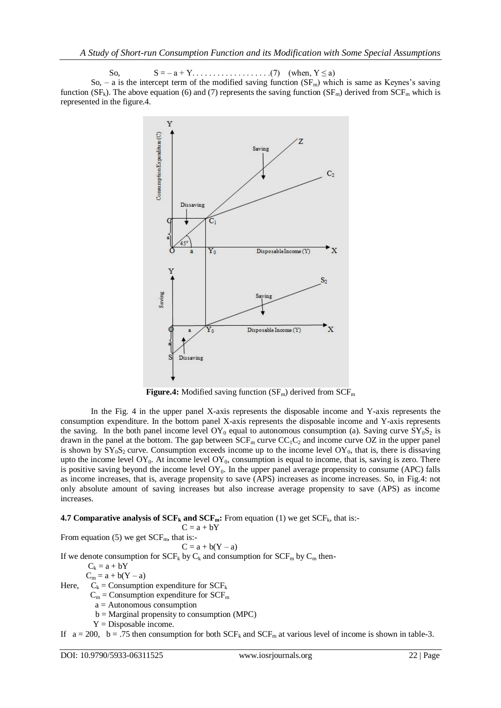So, S = – a + Y. . . . . . . . . . . . . . . . . . .(7) (when, Y ≤ a) So, – a is the intercept term of the modified saving function  $(SF_m)$  which is same as Keynes's saving function (SF<sub>k</sub>). The above equation (6) and (7) represents the saving function (SF<sub>m</sub>) derived from SCF<sub>m</sub> which is represented in the figure.4.



**Figure.4:** Modified saving function  $(SF_m)$  derived from  $SCF_m$ 

In the Fig. 4 in the upper panel X-axis represents the disposable income and Y-axis represents the consumption expenditure. In the bottom panel X-axis represents the disposable income and Y-axis represents the saving. In the both panel income level  $OY_0$  equal to autonomous consumption (a). Saving curve  $SY_0S_2$  is drawn in the panel at the bottom. The gap between  $SCF_m$  curve  $CC_1C_2$  and income curve OZ in the upper panel is shown by  $SY_0S_2$  curve. Consumption exceeds income up to the income level  $OY_0$ , that is, there is dissaving upto the income level  $OY_0$ . At income level  $OY_0$ , consumption is equal to income, that is, saving is zero. There is positive saving beyond the income level  $OY_0$ . In the upper panel average propensity to consume (APC) falls as income increases, that is, average propensity to save (APS) increases as income increases. So, in Fig.4: not only absolute amount of saving increases but also increase average propensity to save (APS) as income increases.

# **4.7 Comparative analysis of**  $SCF_k$  **and**  $SCF_m$ **: From equation (1) we get**  $SCF_k$ **, that is:-**

 $C = a + bY$ From equation (5) we get  $SCF<sub>m</sub>$ , that is:- $C = a + b(Y - a)$ If we denote consumption for  $SCF_k$  by  $C_k$  and consumption for  $SCF_m$  by  $C_m$  then- $C_k = a + bY$  $C_m = a + b(Y - a)$ Here,  $C_k =$  Consumption expenditure for  $SCF_k$  $C_m$  = Consumption expenditure for  $SCF_m$  $a =$  Autonomous consumption  $b = Marginal$  propensity to consumption (MPC)  $Y = Disposable$  income.

If  $a = 200$ ,  $b = .75$  then consumption for both  $SCF_k$  and  $SCF_m$  at various level of income is shown in table-3.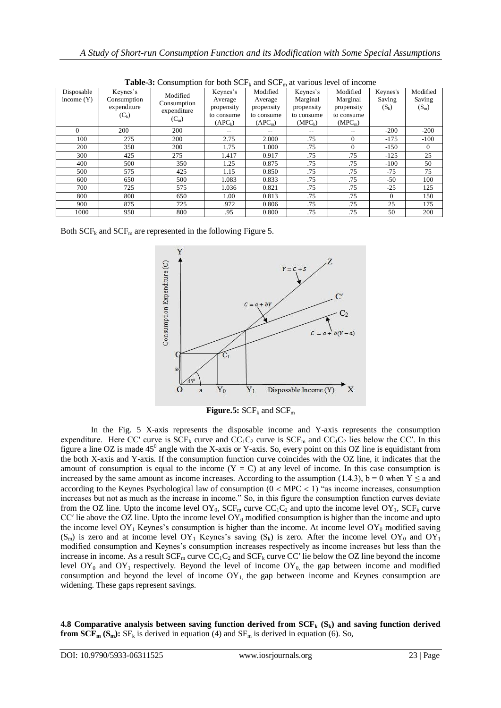| <b>Table-5:</b> Consumption for both $\mathbf{SCF}_k$ and $\mathbf{SCF}_m$ at various level of income |                            |                                       |            |                     |            |                     |          |          |
|-------------------------------------------------------------------------------------------------------|----------------------------|---------------------------------------|------------|---------------------|------------|---------------------|----------|----------|
| Disposable                                                                                            | Keynes's                   | Modified                              | Keynes's   | Modified            | Keynes's   | Modified            | Keynes's | Modified |
| income $(Y)$                                                                                          | Consumption<br>expenditure | Consumption<br>expenditure<br>$(C_m)$ | Average    | Average             | Marginal   | Marginal            | Saving   | Saving   |
|                                                                                                       |                            |                                       | propensity | propensity          | propensity | propensity          | $(S_k)$  | $(S_m)$  |
|                                                                                                       | $(C_k)$                    |                                       | to consume | to consume          | to consume | to consume          |          |          |
|                                                                                                       |                            |                                       | $(APC_k)$  | (APC <sub>m</sub> ) | $(MPC_k)$  | (MPC <sub>m</sub> ) |          |          |
| $\Omega$                                                                                              | 200                        | 200                                   |            |                     |            |                     | $-200$   | $-200$   |
| 100                                                                                                   | 275                        | 200                                   | 2.75       | 2.000               | .75        | $\Omega$            | $-175$   | $-100$   |
| 200                                                                                                   | 350                        | 200                                   | 1.75       | 1.000               | .75        | $\Omega$            | $-150$   | $\Omega$ |
| 300                                                                                                   | 425                        | 275                                   | 1.417      | 0.917               | .75        | .75                 | $-125$   | 25       |
| 400                                                                                                   | 500                        | 350                                   | 1.25       | 0.875               | .75        | .75                 | $-100$   | 50       |
| 500                                                                                                   | 575                        | 425                                   | 1.15       | 0.850               | .75        | .75                 | -75      | 75       |
| 600                                                                                                   | 650                        | 500                                   | 1.083      | 0.833               | .75        | .75                 | -50      | 100      |
| 700                                                                                                   | 725                        | 575                                   | 1.036      | 0.821               | .75        | .75                 | $-25$    | 125      |
| 800                                                                                                   | 800                        | 650                                   | 1.00       | 0.813               | .75        | .75                 | $\Omega$ | 150      |
| 900                                                                                                   | 875                        | 725                                   | .972       | 0.806               | .75        | .75                 | 25       | 175      |
| 1000                                                                                                  | 950                        | 800                                   | .95        | 0.800               | .75        | .75                 | 50       | 200      |

Table 3: Consumption for both SCF and SCF<sub>m</sub> at various level of income

Both  $SCF_k$  and  $SCF_m$  are represented in the following Figure 5.



**Figure.5:**  $SCF_k$  and  $SCF_m$ 

In the Fig. 5 X-axis represents the disposable income and Y-axis represents the consumption expenditure. Here CC' curve is  $SCF_k$  curve and  $CC_1C_2$  curve is  $SCF_m$  and  $CC_1C_2$  lies below the CC'. In this figure a line OZ is made  $45^{\circ}$  angle with the X-axis or Y-axis. So, every point on this OZ line is equidistant from the both X-axis and Y-axis. If the consumption function curve coincides with the OZ line, it indicates that the amount of consumption is equal to the income  $(Y = C)$  at any level of income. In this case consumption is increased by the same amount as income increases. According to the assumption (1.4.3),  $b = 0$  when  $Y \le a$  and according to the Keynes Psychological law of consumption  $(0 < MPC < 1)$  "as income increases, consumption increases but not as much as the increase in income." So, in this figure the consumption function curves deviate from the OZ line. Upto the income level  $OY_0$ ,  $SCF_m$  curve  $CC_1C_2$  and upto the income level  $OY_1$ ,  $SCF_k$  curve CC' lie above the OZ line. Upto the income level  $OY_0$  modified consumption is higher than the income and upto the income level  $OY_1$  Keynes's consumption is higher than the income. At income level  $OY_0$  modified saving (S<sub>m</sub>) is zero and at income level  $OY_1$  Keynes's saving (S<sub>k</sub>) is zero. After the income level  $OY_0$  and  $OY_1$ modified consumption and Keynes"s consumption increases respectively as income increases but less than the increase in income. As a result  $SCF_m$  curve  $CC_1C_2$  and  $SCF_k$  curve  $CC'$  lie below the OZ line beyond the income level  $OY_0$  and  $OY_1$  respectively. Beyond the level of income  $OY_0$  the gap between income and modified consumption and beyond the level of income  $OY<sub>1</sub>$ , the gap between income and Keynes consumption are widening. These gaps represent savings.

**4.8 Comparative analysis between saving function derived from SCF<sup>k</sup> (Sk) and saving function derived from**  $SCF_m(S_m)$ **:**  $SF_k$  **is derived in equation (4) and**  $SF_m$  **is derived in equation (6). So,**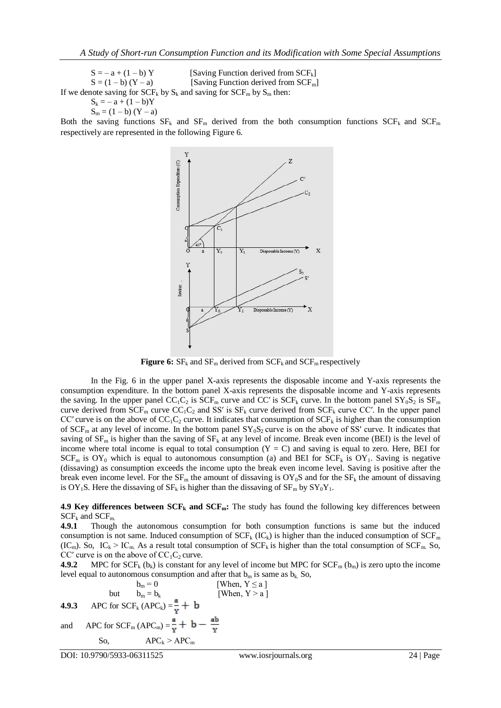$S = -a + (1 - b)Y$  [Saving Function derived from SCF<sub>k</sub>]  $S = (1 - b) (Y - a)$  [Saving Function derived from SCF<sub>m</sub>] If we denote saving for  $SCF_k$  by  $S_k$  and saving for  $SCF_m$  by  $S_m$  then:  $S_k = -a + (1 - b)Y$ 

$$
S_m = (1 - b) (Y - a)
$$

Both the saving functions  $SF_k$  and  $SF_m$  derived from the both consumption functions  $SCF_k$  and  $SCF_m$ respectively are represented in the following Figure 6.



**Figure 6:**  $SF_k$  and  $SF_m$  derived from  $SCF_k$  and  $SCF_m$  respectively

In the Fig. 6 in the upper panel X-axis represents the disposable income and Y-axis represents the consumption expenditure. In the bottom panel X-axis represents the disposable income and Y-axis represents the saving. In the upper panel  $CC_1C_2$  is  $\widehat{SCF_m}$  curve and  $CC'$  is  $SCF_k$  curve. In the bottom panel  $SY_0S_2$  is  $SF_m$ curve derived from  $SCF_m$  curve  $CC_1C_2$  and SS' is  $SF_k$  curve derived from  $SCF_k$  curve CC'. In the upper panel CC' curve is on the above of  $CC_1C_2$  curve. It indicates that consumption of  $SCF_k$  is higher than the consumption of SCF<sub>m</sub> at any level of income. In the bottom panel  $SY_0S_2$  curve is on the above of SS' curve. It indicates that saving of  $SF_m$  is higher than the saving of  $SF_k$  at any level of income. Break even income (BEI) is the level of income where total income is equal to total consumption  $(Y = C)$  and saving is equal to zero. Here, BEI for  $SCF<sub>m</sub>$  is  $OY<sub>0</sub>$  which is equal to autonomous consumption (a) and BEI for  $SCF<sub>k</sub>$  is  $OY<sub>1</sub>$ . Saving is negative (dissaving) as consumption exceeds the income upto the break even income level. Saving is positive after the break even income level. For the  $SF_m$  the amount of dissaving is  $OY_0S$  and for the  $SF_k$  the amount of dissaving is OY<sub>1</sub>S. Here the dissaving of  $SF_k$  is higher than the dissaving of  $SF_m$  by  $SY_0Y_1$ .

**4.9 Key differences between SCF<sup>k</sup> and SCFm:** The study has found the following key differences between  $SCF_k$  and  $SCF_m$ .

**4.9.1** Though the autonomous consumption for both consumption functions is same but the induced consumption is not same. Induced consumption of  $SCF_k$  (IC<sub>k</sub>) is higher than the induced consumption of  $SCF_m$ (IC<sub>m</sub>). So, IC<sub>k</sub> > IC<sub>m</sub>. As a result total consumption of SCF<sub>k</sub> is higher than the total consumption of SCF<sub>m</sub>. So, CC' curve is on the above of  $CC_1C_2$  curve.

**4.9.2** MPC for  $SCF_k(b_k)$  is constant for any level of income but MPC for  $SCF_m(b_m)$  is zero upto the income level equal to autonomous consumption and after that  $b_m$  is same as  $b_k$ . So,

$$
b_m = 0
$$
 [When, Y  $\le a$ ]  
but  $b_m = b_k$  [When, Y > a]  
**4.9.3** APC for SCF<sub>k</sub> (APC<sub>k</sub>) =  $\frac{a}{Y}$  + b  
and APC for SCF<sub>m</sub> (APC<sub>m</sub>) =  $\frac{a}{Y}$  + b -  $\frac{ab}{Y}$   
So, APC<sub>k</sub> > APC<sub>m</sub>